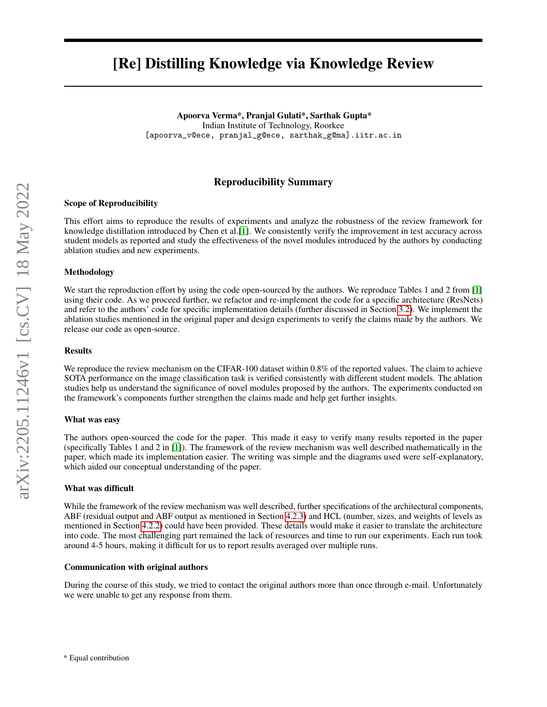# [Re] Distilling Knowledge via Knowledge Review

Apoorva Verma\*, Pranjal Gulati\*, Sarthak Gupta\* Indian Institute of Technology, Roorkee [apoorva\_v@ece, pranjal\_g@ece, sarthak\_g@ma].iitr.ac.in

# Reproducibility Summary

### Scope of Reproducibility

This effort aims to reproduce the results of experiments and analyze the robustness of the review framework for knowledge distillation introduced by Chen et al.[\[1\]](#page-8-0). We consistently verify the improvement in test accuracy across student models as reported and study the effectiveness of the novel modules introduced by the authors by conducting ablation studies and new experiments.

### Methodology

We start the reproduction effort by using the code open-sourced by the authors. We reproduce Tables 1 and 2 from [\[1\]](#page-8-0) using their code. As we proceed further, we refactor and re-implement the code for a specific architecture (ResNets) and refer to the authors' code for specific implementation details (further discussed in Section [3.2\)](#page-3-0). We implement the ablation studies mentioned in the original paper and design experiments to verify the claims made by the authors. We release our code as open-source.

#### **Results**

We reproduce the review mechanism on the CIFAR-100 dataset within 0.8% of the reported values. The claim to achieve SOTA performance on the image classification task is verified consistently with different student models. The ablation studies help us understand the significance of novel modules proposed by the authors. The experiments conducted on the framework's components further strengthen the claims made and help get further insights.

#### What was easy

The authors open-sourced the code for the paper. This made it easy to verify many results reported in the paper (specifically Tables 1 and 2 in [\[1\]](#page-8-0)). The framework of the review mechanism was well described mathematically in the paper, which made its implementation easier. The writing was simple and the diagrams used were self-explanatory, which aided our conceptual understanding of the paper.

### What was difficult

While the framework of the review mechanism was well described, further specifications of the architectural components, ABF (residual output and ABF output as mentioned in Section [4.2.3\)](#page-7-0) and HCL (number, sizes, and weights of levels as mentioned in Section [4.2.2\)](#page-6-0) could have been provided. These details would make it easier to translate the architecture into code. The most challenging part remained the lack of resources and time to run our experiments. Each run took around 4-5 hours, making it difficult for us to report results averaged over multiple runs.

#### Communication with original authors

During the course of this study, we tried to contact the original authors more than once through e-mail. Unfortunately we were unable to get any response from them.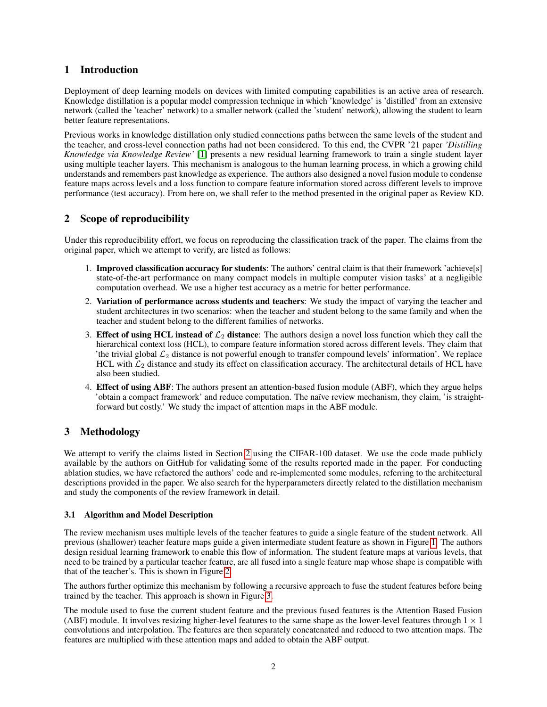# 1 Introduction

Deployment of deep learning models on devices with limited computing capabilities is an active area of research. Knowledge distillation is a popular model compression technique in which 'knowledge' is 'distilled' from an extensive network (called the 'teacher' network) to a smaller network (called the 'student' network), allowing the student to learn better feature representations.

Previous works in knowledge distillation only studied connections paths between the same levels of the student and the teacher, and cross-level connection paths had not been considered. To this end, the CVPR '21 paper *'Distilling Knowledge via Knowledge Review'* [\[1\]](#page-8-0) presents a new residual learning framework to train a single student layer using multiple teacher layers. This mechanism is analogous to the human learning process, in which a growing child understands and remembers past knowledge as experience. The authors also designed a novel fusion module to condense feature maps across levels and a loss function to compare feature information stored across different levels to improve performance (test accuracy). From here on, we shall refer to the method presented in the original paper as Review KD.

# <span id="page-1-0"></span>2 Scope of reproducibility

Under this reproducibility effort, we focus on reproducing the classification track of the paper. The claims from the original paper, which we attempt to verify, are listed as follows:

- 1. Improved classification accuracy for students: The authors' central claim is that their framework 'achieve[s] state-of-the-art performance on many compact models in multiple computer vision tasks' at a negligible computation overhead. We use a higher test accuracy as a metric for better performance.
- 2. Variation of performance across students and teachers: We study the impact of varying the teacher and student architectures in two scenarios: when the teacher and student belong to the same family and when the teacher and student belong to the different families of networks.
- 3. Effect of using HCL instead of  $\mathcal{L}_2$  distance: The authors design a novel loss function which they call the hierarchical context loss (HCL), to compare feature information stored across different levels. They claim that 'the trivial global  $\mathcal{L}_2$  distance is not powerful enough to transfer compound levels' information'. We replace HCL with  $\mathcal{L}_2$  distance and study its effect on classification accuracy. The architectural details of HCL have also been studied.
- 4. Effect of using ABF: The authors present an attention-based fusion module (ABF), which they argue helps 'obtain a compact framework' and reduce computation. The naïve review mechanism, they claim, 'is straightforward but costly.' We study the impact of attention maps in the ABF module.

# 3 Methodology

We attempt to verify the claims listed in Section [2](#page-1-0) using the CIFAR-100 dataset. We use the code made publicly available by the authors on GitHub for validating some of the results reported made in the paper. For conducting ablation studies, we have refactored the authors' code and re-implemented some modules, referring to the architectural descriptions provided in the paper. We also search for the hyperparameters directly related to the distillation mechanism and study the components of the review framework in detail.

# 3.1 Algorithm and Model Description

The review mechanism uses multiple levels of the teacher features to guide a single feature of the student network. All previous (shallower) teacher feature maps guide a given intermediate student feature as shown in Figure [1.](#page-2-0) The authors design residual learning framework to enable this flow of information. The student feature maps at various levels, that need to be trained by a particular teacher feature, are all fused into a single feature map whose shape is compatible with that of the teacher's. This is shown in Figure [2.](#page-2-1)

The authors further optimize this mechanism by following a recursive approach to fuse the student features before being trained by the teacher. This approach is shown in Figure [3.](#page-2-2)

The module used to fuse the current student feature and the previous fused features is the Attention Based Fusion (ABF) module. It involves resizing higher-level features to the same shape as the lower-level features through  $1 \times 1$ convolutions and interpolation. The features are then separately concatenated and reduced to two attention maps. The features are multiplied with these attention maps and added to obtain the ABF output.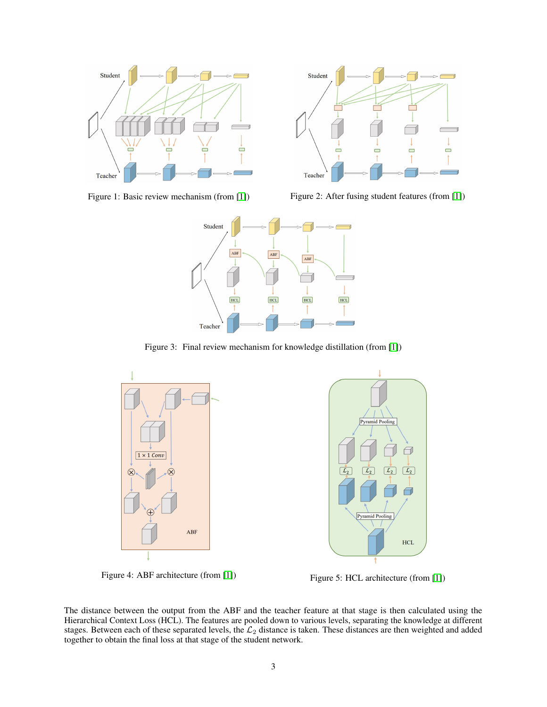

<span id="page-2-1"></span>

<span id="page-2-0"></span>Figure 1: Basic review mechanism (from [\[1\]](#page-8-0)) Figure 2: After fusing student features (from [1])



<span id="page-2-2"></span>Figure 3: Final review mechanism for knowledge distillation (from [\[1\]](#page-8-0))



<span id="page-2-3"></span>Figure 4: ABF architecture (from [\[1\]](#page-8-0)) Figure 5: HCL architecture (from [1])



<span id="page-2-4"></span>

The distance between the output from the ABF and the teacher feature at that stage is then calculated using the Hierarchical Context Loss (HCL). The features are pooled down to various levels, separating the knowledge at different stages. Between each of these separated levels, the  $\mathcal{L}_2$  distance is taken. These distances are then weighted and added together to obtain the final loss at that stage of the student network.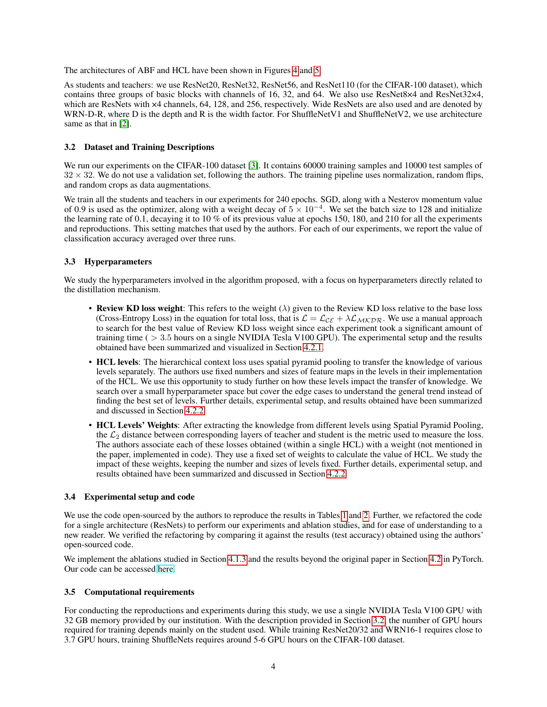The architectures of ABF and HCL have been shown in Figures [4](#page-2-3) and [5.](#page-2-4)

As students and teachers: we use ResNet20, ResNet32, ResNet56, and ResNet110 (for the CIFAR-100 dataset), which contains three groups of basic blocks with channels of 16, 32, and 64. We also use ResNet8×4 and ResNet32×4, which are ResNets with  $\times$ 4 channels, 64, 128, and 256, respectively. Wide ResNets are also used and are denoted by WRN-D-R, where D is the depth and R is the width factor. For ShuffleNetV1 and ShuffleNetV2, we use architecture same as that in [\[2\]](#page-8-1).

# <span id="page-3-0"></span>3.2 Dataset and Training Descriptions

We run our experiments on the CIFAR-100 dataset [\[3\]](#page-8-2). It contains 60000 training samples and 10000 test samples of  $32 \times 32$ . We do not use a validation set, following the authors. The training pipeline uses normalization, random flips, and random crops as data augmentations.

We train all the students and teachers in our experiments for 240 epochs. SGD, along with a Nesterov momentum value of 0.9 is used as the optimizer, along with a weight decay of  $5 \times 10^{-4}$ . We set the batch size to 128 and initialize the learning rate of 0.1, decaying it to 10 % of its previous value at epochs 150, 180, and 210 for all the experiments and reproductions. This setting matches that used by the authors. For each of our experiments, we report the value of classification accuracy averaged over three runs.

# 3.3 Hyperparameters

We study the hyperparameters involved in the algorithm proposed, with a focus on hyperparameters directly related to the distillation mechanism.

- Review KD loss weight: This refers to the weight  $(\lambda)$  given to the Review KD loss relative to the base loss (Cross-Entropy Loss) in the equation for total loss, that is  $\mathcal{L} = \mathcal{L}_{CE} + \lambda \mathcal{L}_{MKDR}$ . We use a manual approach to search for the best value of Review KD loss weight since each experiment took a significant amount of training time ( > 3.5 hours on a single NVIDIA Tesla V100 GPU). The experimental setup and the results obtained have been summarized and visualized in Section [4.2.1.](#page-6-1)
- HCL levels: The hierarchical context loss uses spatial pyramid pooling to transfer the knowledge of various levels separately. The authors use fixed numbers and sizes of feature maps in the levels in their implementation of the HCL. We use this opportunity to study further on how these levels impact the transfer of knowledge. We search over a small hyperparameter space but cover the edge cases to understand the general trend instead of finding the best set of levels. Further details, experimental setup, and results obtained have been summarized and discussed in Section [4.2.2.](#page-6-0)
- HCL Levels' Weights: After extracting the knowledge from different levels using Spatial Pyramid Pooling, the  $\mathcal{L}_2$  distance between corresponding layers of teacher and student is the metric used to measure the loss. The authors associate each of these losses obtained (within a single HCL) with a weight (not mentioned in the paper, implemented in code). They use a fixed set of weights to calculate the value of HCL. We study the impact of these weights, keeping the number and sizes of levels fixed. Further details, experimental setup, and results obtained have been summarized and discussed in Section [4.2.2](#page-6-0)

### 3.4 Experimental setup and code

We use the code open-sourced by the authors to reproduce the results in Tables [1](#page-4-0) and [2.](#page-5-0) Further, we refactored the code for a single architecture (ResNets) to perform our experiments and ablation studies, and for ease of understanding to a new reader. We verified the refactoring by comparing it against the results (test accuracy) obtained using the authors' open-sourced code.

We implement the ablations studied in Section [4.1.3](#page-4-1) and the results beyond the original paper in Section [4.2](#page-5-1) in PyTorch. Our code can be accessed [here.](https://anonymous.4open.science/r/re-reviewkd/)

### 3.5 Computational requirements

For conducting the reproductions and experiments during this study, we use a single NVIDIA Tesla V100 GPU with 32 GB memory provided by our institution. With the description provided in Section [3.2,](#page-3-0) the number of GPU hours required for training depends mainly on the student used. While training ResNet20/32 and WRN16-1 requires close to 3.7 GPU hours, training ShuffleNets requires around 5-6 GPU hours on the CIFAR-100 dataset.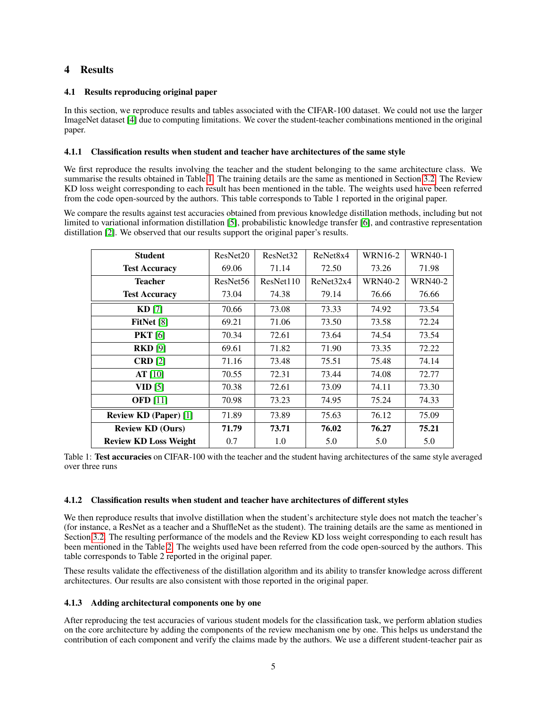# 4 Results

# 4.1 Results reproducing original paper

In this section, we reproduce results and tables associated with the CIFAR-100 dataset. We could not use the larger ImageNet dataset [\[4\]](#page-8-3) due to computing limitations. We cover the student-teacher combinations mentioned in the original paper.

# 4.1.1 Classification results when student and teacher have architectures of the same style

We first reproduce the results involving the teacher and the student belonging to the same architecture class. We summarise the results obtained in Table [1.](#page-4-0) The training details are the same as mentioned in Section [3.2.](#page-3-0) The Review KD loss weight corresponding to each result has been mentioned in the table. The weights used have been referred from the code open-sourced by the authors. This table corresponds to Table 1 reported in the original paper.

We compare the results against test accuracies obtained from previous knowledge distillation methods, including but not limited to variational information distillation [\[5\]](#page-8-4), probabilistic knowledge transfer [\[6\]](#page-8-5), and contrastive representation distillation [\[2\]](#page-8-1). We observed that our results support the original paper's results.

| <b>Student</b>               | ResNet20             | ResNet <sub>32</sub> | ReNet <sub>8x4</sub> | <b>WRN16-2</b> | <b>WRN40-1</b> |
|------------------------------|----------------------|----------------------|----------------------|----------------|----------------|
| <b>Test Accuracy</b>         | 69.06                | 71.14                | 72.50                | 73.26          | 71.98          |
| <b>Teacher</b>               | ResNet <sub>56</sub> | ResNet110            | ReNet32x4            | <b>WRN40-2</b> | <b>WRN40-2</b> |
| <b>Test Accuracy</b>         | 73.04                | 74.38                | 79.14                | 76.66          | 76.66          |
| $KD$ [7]                     | 70.66                | 73.08                | 73.33                | 74.92          | 73.54          |
| FitNet [8]                   | 69.21                | 71.06                | 73.50                | 73.58          | 72.24          |
| <b>PKT</b> [6]               | 70.34                | 72.61                | 73.64                | 74.54          | 73.54          |
| <b>RKD</b> [9]               | 69.61                | 71.82                | 71.90                | 73.35          | 72.22          |
| CRD[2]                       | 71.16                | 73.48                | 75.51                | 75.48          | 74.14          |
| AT[10]                       | 70.55                | 72.31                | 73.44                | 74.08          | 72.77          |
| VID [5]                      | 70.38                | 72.61                | 73.09                | 74.11          | 73.30          |
| <b>OFD</b> [11]              | 70.98                | 73.23                | 74.95                | 75.24          | 74.33          |
| <b>Review KD (Paper)</b> [1] | 71.89                | 73.89                | 75.63                | 76.12          | 75.09          |
| <b>Review KD (Ours)</b>      | 71.79                | 73.71                | 76.02                | 76.27          | 75.21          |
| <b>Review KD Loss Weight</b> | 0.7                  | 1.0                  | 5.0                  | 5.0            | 5.0            |

<span id="page-4-0"></span>Table 1: Test accuracies on CIFAR-100 with the teacher and the student having architectures of the same style averaged over three runs

### 4.1.2 Classification results when student and teacher have architectures of different styles

We then reproduce results that involve distillation when the student's architecture style does not match the teacher's (for instance, a ResNet as a teacher and a ShuffleNet as the student). The training details are the same as mentioned in Section [3.2.](#page-3-0) The resulting performance of the models and the Review KD loss weight corresponding to each result has been mentioned in the Table [2.](#page-5-0) The weights used have been referred from the code open-sourced by the authors. This table corresponds to Table 2 reported in the original paper.

These results validate the effectiveness of the distillation algorithm and its ability to transfer knowledge across different architectures. Our results are also consistent with those reported in the original paper.

### <span id="page-4-1"></span>4.1.3 Adding architectural components one by one

After reproducing the test accuracies of various student models for the classification task, we perform ablation studies on the core architecture by adding the components of the review mechanism one by one. This helps us understand the contribution of each component and verify the claims made by the authors. We use a different student-teacher pair as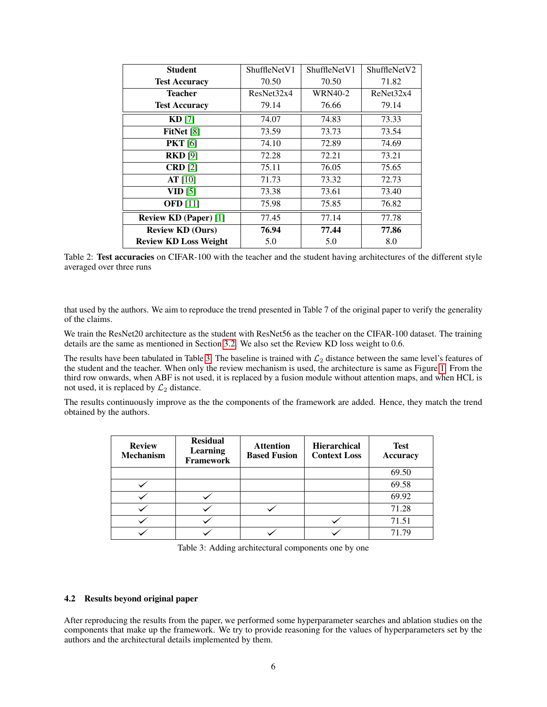| <b>Student</b>               | ShuffleNetV1 | ShuffleNet <sub>V1</sub> | ShuffleNetV2 |
|------------------------------|--------------|--------------------------|--------------|
| <b>Test Accuracy</b>         | 70.50        | 70.50                    | 71.82        |
| <b>Teacher</b>               | ResNet32x4   | <b>WRN40-2</b>           | ReNet32x4    |
| <b>Test Accuracy</b>         | 79.14        | 76.66                    | 79.14        |
| $KD$ [7]                     | 74.07        | 74.83                    | 73.33        |
| FitNet [8]                   | 73.59        | 73.73                    | 73.54        |
| <b>PKT</b> [6]               | 74.10        | 72.89                    | 74.69        |
| <b>RKD</b> [9]               | 72.28        | 72.21                    | 73.21        |
| CRD[2]                       | 75.11        | 76.05                    | 75.65        |
| $AT$ [10]                    | 71.73        | 73.32                    | 72.73        |
| VID <sub>[5]</sub>           | 73.38        | 73.61                    | 73.40        |
| <b>OFD</b> [11]              | 75.98        | 75.85                    | 76.82        |
| <b>Review KD (Paper)</b> [1] | 77.45        | 77.14                    | 77.78        |
| <b>Review KD (Ours)</b>      | 76.94        | 77.44                    | 77.86        |
| <b>Review KD Loss Weight</b> | 5.0          | 5.0                      | 8.0          |

<span id="page-5-0"></span>Table 2: Test accuracies on CIFAR-100 with the teacher and the student having architectures of the different style averaged over three runs

that used by the authors. We aim to reproduce the trend presented in Table 7 of the original paper to verify the generality of the claims.

We train the ResNet20 architecture as the student with ResNet56 as the teacher on the CIFAR-100 dataset. The training details are the same as mentioned in Section [3.2.](#page-3-0) We also set the Review KD loss weight to 0.6.

The results have been tabulated in Table [3.](#page-5-2) The baseline is trained with  $\mathcal{L}_2$  distance between the same level's features of the student and the teacher. When only the review mechanism is used, the architecture is same as Figure [1.](#page-2-0) From the third row onwards, when ABF is not used, it is replaced by a fusion module without attention maps, and when HCL is not used, it is replaced by  $\mathcal{L}_2$  distance.

The results continuously improve as the the components of the framework are added. Hence, they match the trend obtained by the authors.

| <b>Review</b><br><b>Mechanism</b> | <b>Residual</b><br><b>Learning</b><br><b>Framework</b> | <b>Attention</b><br><b>Based Fusion</b> | <b>Hierarchical</b><br><b>Context Loss</b> | <b>Test</b><br>Accuracy |
|-----------------------------------|--------------------------------------------------------|-----------------------------------------|--------------------------------------------|-------------------------|
|                                   |                                                        |                                         |                                            | 69.50                   |
|                                   |                                                        |                                         |                                            | 69.58                   |
|                                   |                                                        |                                         |                                            | 69.92                   |
|                                   |                                                        |                                         |                                            | 71.28                   |
|                                   |                                                        |                                         |                                            | 71.51                   |
|                                   |                                                        |                                         |                                            | 71.79                   |

<span id="page-5-2"></span>Table 3: Adding architectural components one by one

### <span id="page-5-1"></span>4.2 Results beyond original paper

After reproducing the results from the paper, we performed some hyperparameter searches and ablation studies on the components that make up the framework. We try to provide reasoning for the values of hyperparameters set by the authors and the architectural details implemented by them.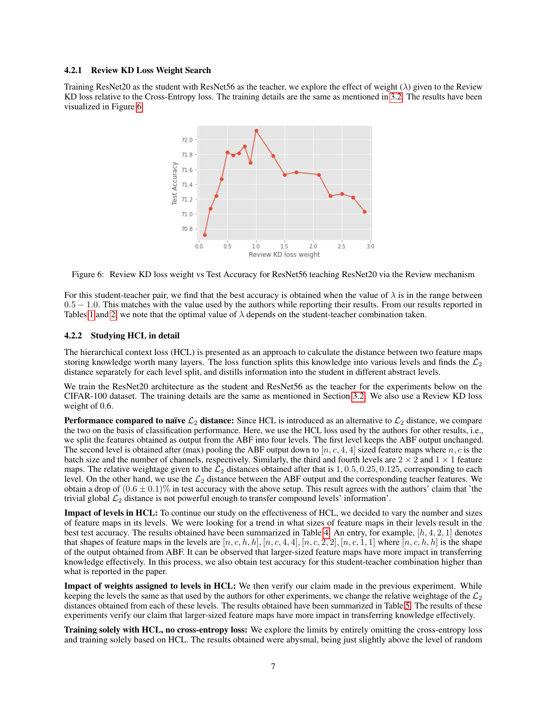#### <span id="page-6-1"></span>4.2.1 Review KD Loss Weight Search

Training ResNet20 as the student with ResNet56 as the teacher, we explore the effect of weight ( $\lambda$ ) given to the Review KD loss relative to the Cross-Entropy loss. The training details are the same as mentioned in [3.2.](#page-3-0) The results have been visualized in Figure [6.](#page-6-2)



<span id="page-6-2"></span>Figure 6: Review KD loss weight vs Test Accuracy for ResNet56 teaching ResNet20 via the Review mechanism

For this student-teacher pair, we find that the best accuracy is obtained when the value of  $\lambda$  is in the range between  $0.5 - 1.0$ . This matches with the value used by the authors while reporting their results. From our results reported in Tables [1](#page-4-0) and [2,](#page-5-0) we note that the optimal value of  $\lambda$  depends on the student-teacher combination taken.

### <span id="page-6-0"></span>4.2.2 Studying HCL in detail

The hierarchical context loss (HCL) is presented as an approach to calculate the distance between two feature maps storing knowledge worth many layers. The loss function splits this knowledge into various levels and finds the  $\mathcal{L}_2$ distance separately for each level split, and distills information into the student in different abstract levels.

We train the ResNet20 architecture as the student and ResNet56 as the teacher for the experiments below on the CIFAR-100 dataset. The training details are the same as mentioned in Section [3.2.](#page-3-0) We also use a Review KD loss weight of 0.6.

**Performance compared to naïve**  $\mathcal{L}_2$  **distance:** Since HCL is introduced as an alternative to  $\mathcal{L}_2$  distance, we compare the two on the basis of classification performance. Here, we use the HCL loss used by the authors for other results, i.e., we split the features obtained as output from the ABF into four levels. The first level keeps the ABF output unchanged. The second level is obtained after (max) pooling the ABF output down to  $[n, c, 4, 4]$  sized feature maps where n, c is the batch size and the number of channels, respectively. Similarly, the third and fourth levels are  $2 \times 2$  and  $1 \times 1$  feature maps. The relative weightage given to the  $\mathcal{L}_2$  distances obtained after that is 1, 0.5, 0.25, 0.125, corresponding to each level. On the other hand, we use the  $\mathcal{L}_2$  distance between the ABF output and the corresponding teacher features. We obtain a drop of  $(0.6 \pm 0.1)\%$  in test accuracy with the above setup. This result agrees with the authors' claim that 'the trivial global  $\mathcal{L}_2$  distance is not powerful enough to transfer compound levels' information'.

Impact of levels in HCL: To continue our study on the effectiveness of HCL, we decided to vary the number and sizes of feature maps in its levels. We were looking for a trend in what sizes of feature maps in their levels result in the best test accuracy. The results obtained have been summarized in Table [4.](#page-7-1) An entry, for example,  $[h, 4, 2, 1]$  denotes that shapes of feature maps in the levels are  $[n, c, h, h]$ ,  $[n, c, 4, 4]$ ,  $[n, c, 2, 2]$ ,  $[n, c, 1, 1]$  where  $[n, c, h, h]$  is the shape of the output obtained from ABF. It can be observed that larger-sized feature maps have more impact in transferring knowledge effectively. In this process, we also obtain test accuracy for this student-teacher combination higher than what is reported in the paper.

Impact of weights assigned to levels in HCL: We then verify our claim made in the previous experiment. While keeping the levels the same as that used by the authors for other experiments, we change the relative weightage of the  $\mathcal{L}_2$ distances obtained from each of these levels. The results obtained have been summarized in Table [5.](#page-7-2) The results of these experiments verify our claim that larger-sized feature maps have more impact in transferring knowledge effectively.

Training solely with HCL, no cross-entropy loss: We explore the limits by entirely omitting the cross-entropy loss and training solely based on HCL. The results obtained were abysmal, being just slightly above the level of random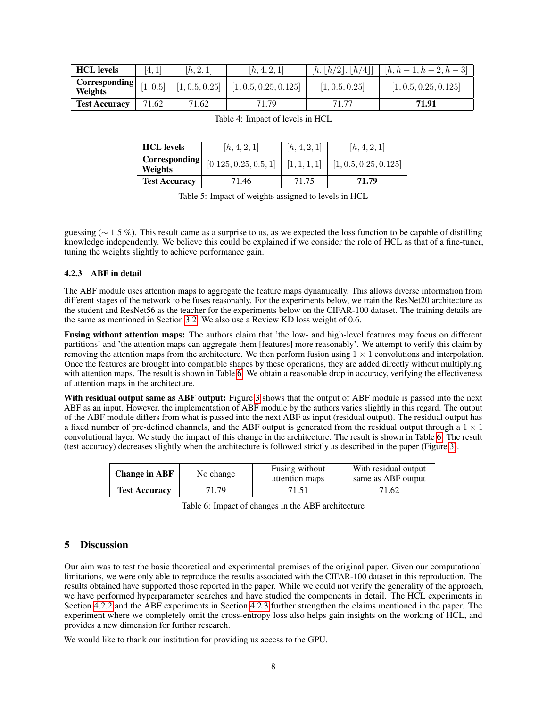| <b>HCL</b> levels        | [4, 1] | [h, 2, 1]      | [h, 4, 2, 1]          |                | $[h, [h/2], [h/4]] \mid [h, h-1, h-2, h-3]$ |
|--------------------------|--------|----------------|-----------------------|----------------|---------------------------------------------|
| Corresponding<br>Weights | 1, 0.5 | [1, 0.5, 0.25] | [1, 0.5, 0.25, 0.125] | [1, 0.5, 0.25] | [1, 0.5, 0.25, 0.125]                       |
| <b>Test Accuracy</b>     | 71.62  | 71.62          | 71.79                 |                | 71.91                                       |

<span id="page-7-1"></span>

| Table 4: Impact of levels in HCL |  |  |  |  |
|----------------------------------|--|--|--|--|
|----------------------------------|--|--|--|--|

| <b>HCL</b> levels        | [h, 4, 2, 1]          | [h, 4, 2, 1] | [h, 4, 2, 1]          |
|--------------------------|-----------------------|--------------|-----------------------|
| Corresponding<br>Weights | [0.125, 0.25, 0.5, 1] | [1,1,1,1]    | [1, 0.5, 0.25, 0.125] |
| <b>Test Accuracy</b>     | 71.46                 | 71.75        | 71.79                 |

<span id="page-7-2"></span>Table 5: Impact of weights assigned to levels in HCL

guessing ( $\sim$  1.5 %). This result came as a surprise to us, as we expected the loss function to be capable of distilling knowledge independently. We believe this could be explained if we consider the role of HCL as that of a fine-tuner, tuning the weights slightly to achieve performance gain.

### <span id="page-7-0"></span>4.2.3 ABF in detail

The ABF module uses attention maps to aggregate the feature maps dynamically. This allows diverse information from different stages of the network to be fuses reasonably. For the experiments below, we train the ResNet20 architecture as the student and ResNet56 as the teacher for the experiments below on the CIFAR-100 dataset. The training details are the same as mentioned in Section [3.2.](#page-3-0) We also use a Review KD loss weight of 0.6.

Fusing without attention maps: The authors claim that 'the low- and high-level features may focus on different partitions' and 'the attention maps can aggregate them [features] more reasonably'. We attempt to verify this claim by removing the attention maps from the architecture. We then perform fusion using  $1 \times 1$  convolutions and interpolation. Once the features are brought into compatible shapes by these operations, they are added directly without multiplying with attention maps. The result is shown in Table [6.](#page-7-3) We obtain a reasonable drop in accuracy, verifying the effectiveness of attention maps in the architecture.

With residual output same as ABF output: Figure [3](#page-2-2) shows that the output of ABF module is passed into the next ABF as an input. However, the implementation of ABF module by the authors varies slightly in this regard. The output of the ABF module differs from what is passed into the next ABF as input (residual output). The residual output has a fixed number of pre-defined channels, and the ABF output is generated from the residual output through a  $1 \times 1$ convolutional layer. We study the impact of this change in the architecture. The result is shown in Table [6.](#page-7-3) The result (test accuracy) decreases slightly when the architecture is followed strictly as described in the paper (Figure [3\)](#page-2-2).

| <b>Change in ABF</b> | No change | Fusing without<br>attention maps | With residual output<br>same as ABF output |
|----------------------|-----------|----------------------------------|--------------------------------------------|
| <b>Test Accuracy</b> | 71.79     | 71.51                            | 71.62                                      |

<span id="page-7-3"></span>Table 6: Impact of changes in the ABF architecture

# 5 Discussion

Our aim was to test the basic theoretical and experimental premises of the original paper. Given our computational limitations, we were only able to reproduce the results associated with the CIFAR-100 dataset in this reproduction. The results obtained have supported those reported in the paper. While we could not verify the generality of the approach, we have performed hyperparameter searches and have studied the components in detail. The HCL experiments in Section [4.2.2](#page-6-0) and the ABF experiments in Section [4.2.3](#page-7-0) further strengthen the claims mentioned in the paper. The experiment where we completely omit the cross-entropy loss also helps gain insights on the working of HCL, and provides a new dimension for further research.

We would like to thank our institution for providing us access to the GPU.